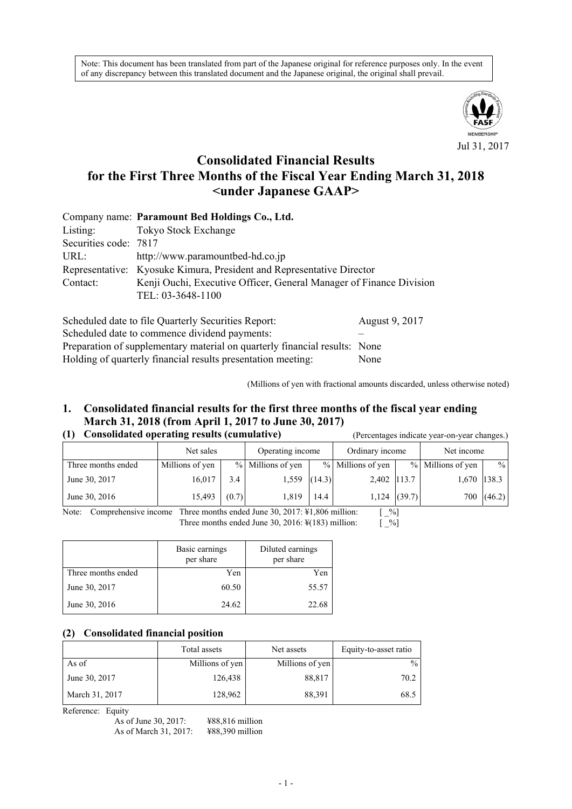Note: This document has been translated from part of the Japanese original for reference purposes only. In the event of any discrepancy between this translated document and the Japanese original, the original shall prevail.



# **Consolidated Financial Results for the First Three Months of the Fiscal Year Ending March 31, 2018 <under Japanese GAAP>**

|                       | Company name: Paramount Bed Holdings Co., Ltd.                        |
|-----------------------|-----------------------------------------------------------------------|
| Listing:              | Tokyo Stock Exchange                                                  |
| Securities code: 7817 |                                                                       |
| URL:                  | http://www.paramountbed-hd.co.jp                                      |
|                       | Representative: Kyosuke Kimura, President and Representative Director |
| Contact:              | Kenji Ouchi, Executive Officer, General Manager of Finance Division   |
|                       | TEL: 03-3648-1100                                                     |
|                       |                                                                       |

| Scheduled date to file Quarterly Securities Report:                        | August 9, 2017 |
|----------------------------------------------------------------------------|----------------|
| Scheduled date to commence dividend payments:                              |                |
| Preparation of supplementary material on quarterly financial results: None |                |
| Holding of quarterly financial results presentation meeting:               | None           |

(Millions of yen with fractional amounts discarded, unless otherwise noted)

## **1. Consolidated financial results for the first three months of the fiscal year ending March 31, 2018 (from April 1, 2017 to June 30, 2017) (1) Consolidated operating results (cumulative)** (Percentages indicate year-on-year changes.)

|                    | Net sales       |       | Operating income  |        | Ordinary income   |                | Net income        |               |
|--------------------|-----------------|-------|-------------------|--------|-------------------|----------------|-------------------|---------------|
| Three months ended | Millions of yen |       | % Millions of yen |        | % Millions of yen |                | % Millions of yen | $\frac{0}{0}$ |
| June 30, 2017      | 16,017          | 3.4   | 1,559             | (14.3) | 2,402 113.7       |                | 1,670 138.3       |               |
| June 30, 2016      | 15,493          | (0.7) | 1,819             | 14.4   |                   | $1,124$ (39.7) | 700               | (46.2)        |

Note: Comprehensive income Three months ended June 30, 2017: ¥1,806 million: [ \_%]<br>Three months ended June 30, 2016: ¥(183) million: [ \_%] Three months ended June 30, 2016:  $\frac{1}{2}$  (183) million:

|                    | Basic earnings<br>per share | Diluted earnings<br>per share |
|--------------------|-----------------------------|-------------------------------|
| Three months ended | Yen                         | Yen                           |
| June 30, 2017      | 60.50                       | 55.57                         |
| June 30, 2016      | 24.62                       | 22.68                         |

#### **(2) Consolidated financial position**

|                | Total assets    | Net assets      | Equity-to-asset ratio |
|----------------|-----------------|-----------------|-----------------------|
| As of          | Millions of yen | Millions of yen | $\%$                  |
| June 30, 2017  | 126,438         | 88,817          | 70.2                  |
| March 31, 2017 | 128,962         | 88,391          | 68.5                  |

Reference: Equity

| As of June 30, 2017:  | ¥88,816 |
|-----------------------|---------|
| As of March 31, 2017: | ¥88,390 |

6 million 0 million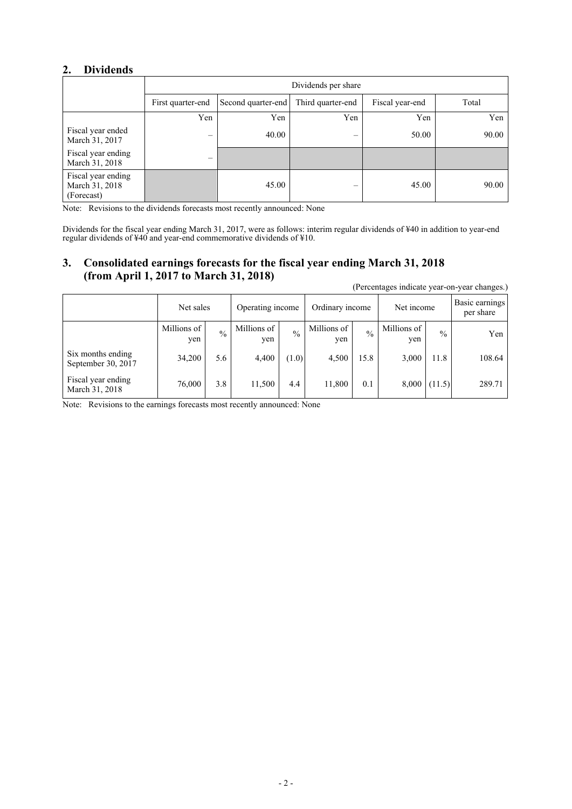# **2. Dividends**

|                                                    | Dividends per share            |                    |                   |                 |       |  |
|----------------------------------------------------|--------------------------------|--------------------|-------------------|-----------------|-------|--|
|                                                    | First quarter-end              | Second quarter-end | Third quarter-end | Fiscal year-end | Total |  |
|                                                    | Yen                            | Yen                | Yen               | Yen             | Yen   |  |
| Fiscal year ended<br>March 31, 2017                | $\qquad \qquad \longleftarrow$ | 40.00              | -                 | 50.00           | 90.00 |  |
| Fiscal year ending<br>March 31, 2018               | —                              |                    |                   |                 |       |  |
| Fiscal year ending<br>March 31, 2018<br>(Forecast) |                                | 45.00              | –                 | 45.00           | 90.00 |  |

Note: Revisions to the dividends forecasts most recently announced: None

Dividends for the fiscal year ending March 31, 2017, were as follows: interim regular dividends of ¥40 in addition to year-end regular dividends of ¥40 and year-end commemorative dividends of ¥10.

## **3. Consolidated earnings forecasts for the fiscal year ending March 31, 2018 (from April 1, 2017 to March 31, 2018)**

|                                         |                    |               |                    |               |                    |             |                    |               | (Percentages indicate year-on-year changes.) |  |            |  |                             |
|-----------------------------------------|--------------------|---------------|--------------------|---------------|--------------------|-------------|--------------------|---------------|----------------------------------------------|--|------------|--|-----------------------------|
|                                         | Net sales          |               | Operating income   |               |                    |             |                    |               | Ordinary income                              |  | Net income |  | Basic earnings<br>per share |
|                                         | Millions of<br>ven | $\frac{0}{0}$ | Millions of<br>yen | $\frac{0}{0}$ | Millions of<br>yen | $^{0}/_{0}$ | Millions of<br>yen | $\frac{0}{0}$ | Yen                                          |  |            |  |                             |
| Six months ending<br>September 30, 2017 | 34,200             | 5.6           | 4,400              | (1.0)         | 4,500              | 15.8        | 3,000              | 11.8          | 108.64                                       |  |            |  |                             |
| Fiscal year ending<br>March 31, 2018    | 76,000             | 3.8           | 11,500             | 4.4           | 11,800             | 0.1         | 8,000              | (11.5)        | 289.71                                       |  |            |  |                             |

Note: Revisions to the earnings forecasts most recently announced: None